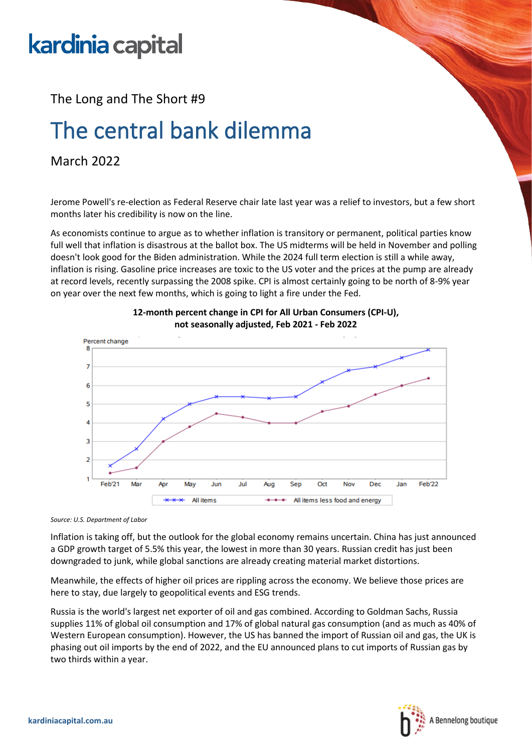# kardinia capital

The Long and The Short #9

## The central bank dilemma

#### March 2022

Jerome Powell's re-election as Federal Reserve chair late last year was a relief to investors, but a few short months later his credibility is now on the line.

As economists continue to argue as to whether inflation is transitory or permanent, political parties know full well that inflation is disastrous at the ballot box. The US midterms will be held in November and polling doesn't look good for the Biden administration. While the 2024 full term election is still a while away, inflation is rising. Gasoline price increases are toxic to the US voter and the prices at the pump are already at record levels, recently surpassing the 2008 spike. CPI is almost certainly going to be north of 8-9% year on year over the next few months, which is going to light a fire under the Fed.





*Source: U.S. Department of Labor*

Inflation is taking off, but the outlook for the global economy remains uncertain. China has just announced a GDP growth target of 5.5% this year, the lowest in more than 30 years. Russian credit has just been downgraded to junk, while global sanctions are already creating material market distortions.

Meanwhile, the effects of higher oil prices are rippling across the economy. We believe those prices are here to stay, due largely to geopolitical events and ESG trends.

Russia is the world's largest net exporter of oil and gas combined. According to Goldman Sachs, Russia supplies 11% of global oil consumption and 17% of global natural gas consumption (and as much as 40% of Western European consumption). However, the US has banned the import of Russian oil and gas, the UK is phasing out oil imports by the end of 2022, and the EU announced plans to cut imports of Russian gas by two thirds within a year.